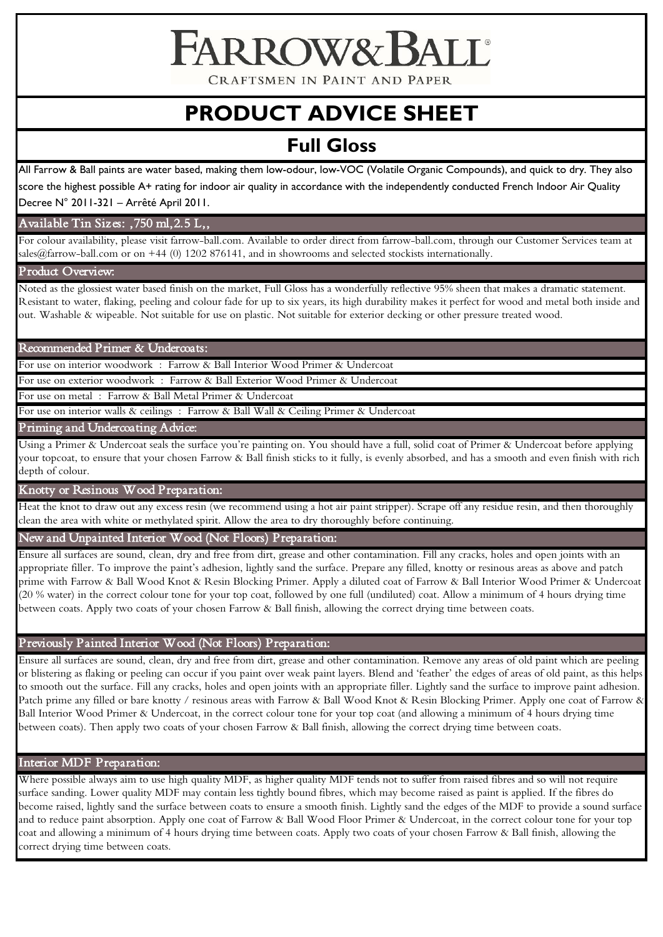CRAFTSMEN IN PAINT AND PAPER

**FARROW& BALL** 

# **PRODUCT ADVICE SHEET**

# **Full Gloss**

All Farrow & Ball paints are water based, making them low-odour, low-VOC (Volatile Organic Compounds), and quick to dry. They also score the highest possible A+ rating for indoor air quality in accordance with the independently conducted French Indoor Air Quality Decree N° 2011-321 – Arrêté April 2011.

# Available Tin Sizes: ,750 ml,2.5 L,,

For colour availability, please visit farrow-ball.com. Available to order direct from farrow-ball.com, through our Customer Services team at sales@farrow-ball.com or on +44 (0) 1202 876141, and in showrooms and selected stockists internationally.

# Product Overview:

Noted as the glossiest water based finish on the market, Full Gloss has a wonderfully reflective 95% sheen that makes a dramatic statement. Resistant to water, flaking, peeling and colour fade for up to six years, its high durability makes it perfect for wood and metal both inside and out. Washable & wipeable. Not suitable for use on plastic. Not suitable for exterior decking or other pressure treated wood.

#### Recommended Primer & Undercoats:

For use on interior woodwork : Farrow & Ball Interior Wood Primer & Undercoat

For use on exterior woodwork : Farrow & Ball Exterior Wood Primer & Undercoat

For use on metal : Farrow & Ball Metal Primer & Undercoat

For use on interior walls & ceilings : Farrow & Ball Wall & Ceiling Primer & Undercoat

Priming and Undercoating Advice:

Using a Primer & Undercoat seals the surface you're painting on. You should have a full, solid coat of Primer & Undercoat before applying your topcoat, to ensure that your chosen Farrow & Ball finish sticks to it fully, is evenly absorbed, and has a smooth and even finish with rich depth of colour.

# Knotty or Resinous Wood Preparation:

Heat the knot to draw out any excess resin (we recommend using a hot air paint stripper). Scrape off any residue resin, and then thoroughly clean the area with white or methylated spirit. Allow the area to dry thoroughly before continuing.

#### New and Unpainted Interior Wood (Not Floors) Preparation:

Ensure all surfaces are sound, clean, dry and free from dirt, grease and other contamination. Fill any cracks, holes and open joints with an appropriate filler. To improve the paint's adhesion, lightly sand the surface. Prepare any filled, knotty or resinous areas as above and patch prime with Farrow & Ball Wood Knot & Resin Blocking Primer. Apply a diluted coat of Farrow & Ball Interior Wood Primer & Undercoat (20 % water) in the correct colour tone for your top coat, followed by one full (undiluted) coat. Allow a minimum of 4 hours drying time between coats. Apply two coats of your chosen Farrow & Ball finish, allowing the correct drying time between coats.

# Previously Painted Interior Wood (Not Floors) Preparation:

Ensure all surfaces are sound, clean, dry and free from dirt, grease and other contamination. Remove any areas of old paint which are peeling or blistering as flaking or peeling can occur if you paint over weak paint layers. Blend and 'feather' the edges of areas of old paint, as this helps to smooth out the surface. Fill any cracks, holes and open joints with an appropriate filler. Lightly sand the surface to improve paint adhesion. Patch prime any filled or bare knotty / resinous areas with Farrow & Ball Wood Knot & Resin Blocking Primer. Apply one coat of Farrow & Ball Interior Wood Primer & Undercoat, in the correct colour tone for your top coat (and allowing a minimum of 4 hours drying time between coats). Then apply two coats of your chosen Farrow & Ball finish, allowing the correct drying time between coats.

# Interior MDF Preparation:

Where possible always aim to use high quality MDF, as higher quality MDF tends not to suffer from raised fibres and so will not require surface sanding. Lower quality MDF may contain less tightly bound fibres, which may become raised as paint is applied. If the fibres do become raised, lightly sand the surface between coats to ensure a smooth finish. Lightly sand the edges of the MDF to provide a sound surface and to reduce paint absorption. Apply one coat of Farrow & Ball Wood Floor Primer & Undercoat, in the correct colour tone for your top coat and allowing a minimum of 4 hours drying time between coats. Apply two coats of your chosen Farrow & Ball finish, allowing the correct drying time between coats.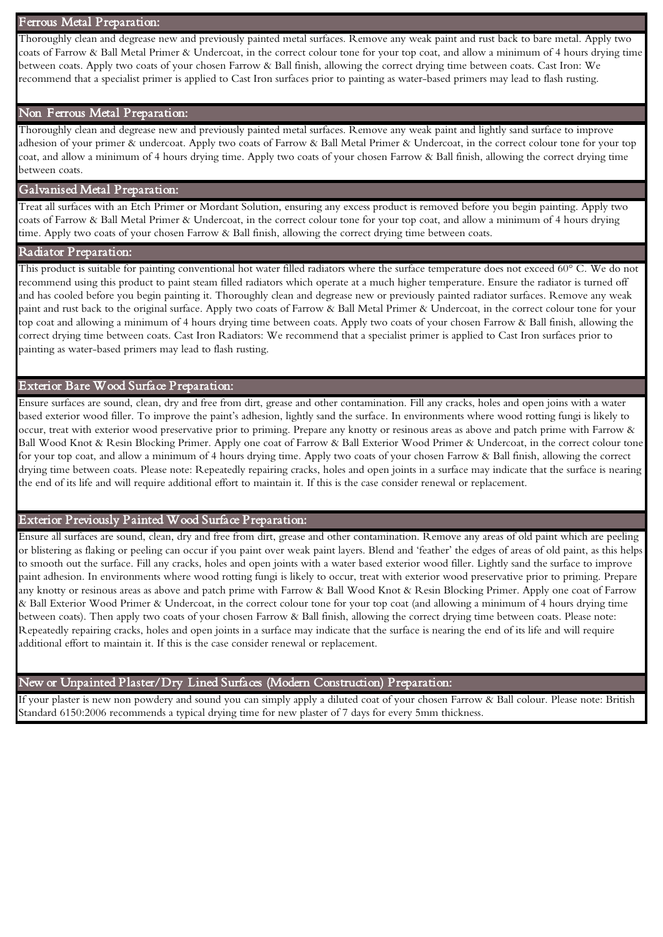#### Ferrous Metal Preparation:

Thoroughly clean and degrease new and previously painted metal surfaces. Remove any weak paint and rust back to bare metal. Apply two coats of Farrow & Ball Metal Primer & Undercoat, in the correct colour tone for your top coat, and allow a minimum of 4 hours drying time between coats. Apply two coats of your chosen Farrow & Ball finish, allowing the correct drying time between coats. Cast Iron: We recommend that a specialist primer is applied to Cast Iron surfaces prior to painting as water-based primers may lead to flash rusting.

#### Non Ferrous Metal Preparation:

Thoroughly clean and degrease new and previously painted metal surfaces. Remove any weak paint and lightly sand surface to improve adhesion of your primer & undercoat. Apply two coats of Farrow & Ball Metal Primer & Undercoat, in the correct colour tone for your top coat, and allow a minimum of 4 hours drying time. Apply two coats of your chosen Farrow & Ball finish, allowing the correct drying time between coats.

# Galvanised Metal Preparation:

Treat all surfaces with an Etch Primer or Mordant Solution, ensuring any excess product is removed before you begin painting. Apply two coats of Farrow & Ball Metal Primer & Undercoat, in the correct colour tone for your top coat, and allow a minimum of 4 hours drying time. Apply two coats of your chosen Farrow & Ball finish, allowing the correct drying time between coats.

#### Radiator Preparation:

This product is suitable for painting conventional hot water filled radiators where the surface temperature does not exceed 60° C. We do not recommend using this product to paint steam filled radiators which operate at a much higher temperature. Ensure the radiator is turned off and has cooled before you begin painting it. Thoroughly clean and degrease new or previously painted radiator surfaces. Remove any weak paint and rust back to the original surface. Apply two coats of Farrow & Ball Metal Primer & Undercoat, in the correct colour tone for your top coat and allowing a minimum of 4 hours drying time between coats. Apply two coats of your chosen Farrow & Ball finish, allowing the correct drying time between coats. Cast Iron Radiators: We recommend that a specialist primer is applied to Cast Iron surfaces prior to painting as water-based primers may lead to flash rusting.

#### Exterior Bare Wood Surface Preparation:

Ensure surfaces are sound, clean, dry and free from dirt, grease and other contamination. Fill any cracks, holes and open joins with a water based exterior wood filler. To improve the paint's adhesion, lightly sand the surface. In environments where wood rotting fungi is likely to occur, treat with exterior wood preservative prior to priming. Prepare any knotty or resinous areas as above and patch prime with Farrow & Ball Wood Knot & Resin Blocking Primer. Apply one coat of Farrow & Ball Exterior Wood Primer & Undercoat, in the correct colour tone for your top coat, and allow a minimum of 4 hours drying time. Apply two coats of your chosen Farrow & Ball finish, allowing the correct drying time between coats. Please note: Repeatedly repairing cracks, holes and open joints in a surface may indicate that the surface is nearing the end of its life and will require additional effort to maintain it. If this is the case consider renewal or replacement.

# Exterior Previously Painted Wood Surface Preparation:

Ensure all surfaces are sound, clean, dry and free from dirt, grease and other contamination. Remove any areas of old paint which are peeling or blistering as flaking or peeling can occur if you paint over weak paint layers. Blend and 'feather' the edges of areas of old paint, as this helps to smooth out the surface. Fill any cracks, holes and open joints with a water based exterior wood filler. Lightly sand the surface to improve paint adhesion. In environments where wood rotting fungi is likely to occur, treat with exterior wood preservative prior to priming. Prepare any knotty or resinous areas as above and patch prime with Farrow & Ball Wood Knot & Resin Blocking Primer. Apply one coat of Farrow & Ball Exterior Wood Primer & Undercoat, in the correct colour tone for your top coat (and allowing a minimum of 4 hours drying time between coats). Then apply two coats of your chosen Farrow & Ball finish, allowing the correct drying time between coats. Please note: Repeatedly repairing cracks, holes and open joints in a surface may indicate that the surface is nearing the end of its life and will require additional effort to maintain it. If this is the case consider renewal or replacement.

#### New or Unpainted Plaster/Dry Lined Surfaces (Modern Construction) Preparation:

If your plaster is new non powdery and sound you can simply apply a diluted coat of your chosen Farrow & Ball colour. Please note: British Standard 6150:2006 recommends a typical drying time for new plaster of 7 days for every 5mm thickness.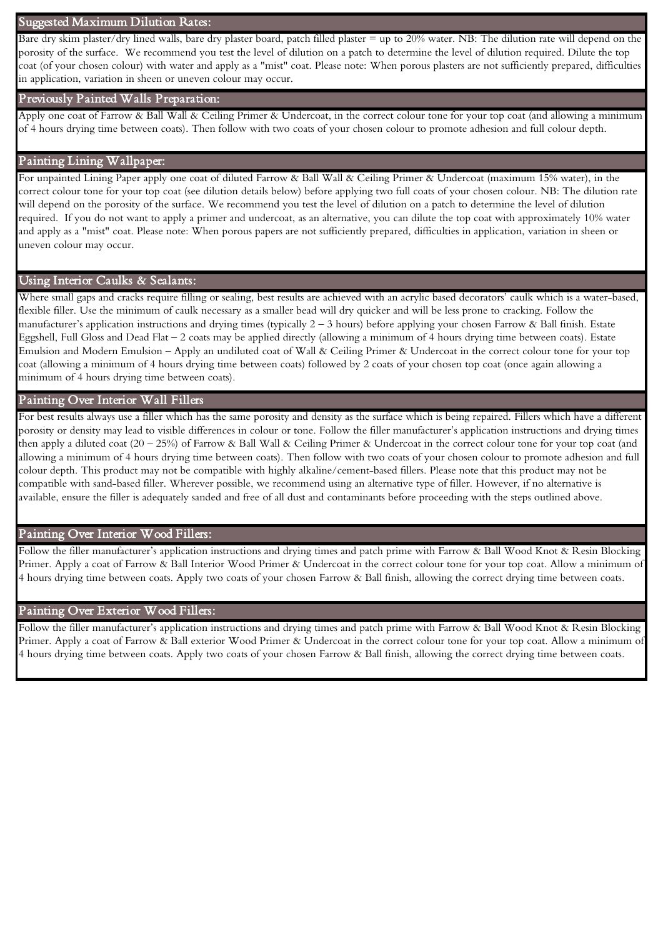#### Suggested Maximum Dilution Rates:

 porosity of the surface. We recommend you test the level of dilution on a patch to determine the level of dilution required. Dilute the top Bare dry skim plaster/dry lined walls, bare dry plaster board, patch filled plaster = up to 20% water. NB: The dilution rate will depend on the coat (of your chosen colour) with water and apply as a "mist" coat. Please note: When porous plasters are not sufficiently prepared, difficulties in application, variation in sheen or uneven colour may occur.

#### Previously Painted Walls Preparation:

Apply one coat of Farrow & Ball Wall & Ceiling Primer & Undercoat, in the correct colour tone for your top coat (and allowing a minimum of 4 hours drying time between coats). Then follow with two coats of your chosen colour to promote adhesion and full colour depth.

#### Painting Lining Wallpaper:

 required. If you do not want to apply a primer and undercoat, as an alternative, you can dilute the top coat with approximately 10% water For unpainted Lining Paper apply one coat of diluted Farrow & Ball Wall & Ceiling Primer & Undercoat (maximum 15% water), in the correct colour tone for your top coat (see dilution details below) before applying two full coats of your chosen colour. NB: The dilution rate will depend on the porosity of the surface. We recommend you test the level of dilution on a patch to determine the level of dilution and apply as a "mist" coat. Please note: When porous papers are not sufficiently prepared, difficulties in application, variation in sheen or uneven colour may occur.

#### Using Interior Caulks & Sealants:

Where small gaps and cracks require filling or sealing, best results are achieved with an acrylic based decorators' caulk which is a water-based, flexible filler. Use the minimum of caulk necessary as a smaller bead will dry quicker and will be less prone to cracking. Follow the manufacturer's application instructions and drying times (typically  $2-3$  hours) before applying your chosen Farrow & Ball finish. Estate Eggshell, Full Gloss and Dead Flat – 2 coats may be applied directly (allowing a minimum of 4 hours drying time between coats). Estate Emulsion and Modern Emulsion – Apply an undiluted coat of Wall & Ceiling Primer & Undercoat in the correct colour tone for your top coat (allowing a minimum of 4 hours drying time between coats) followed by 2 coats of your chosen top coat (once again allowing a minimum of 4 hours drying time between coats).

#### Painting Over Interior Wall Fillers

For best results always use a filler which has the same porosity and density as the surface which is being repaired. Fillers which have a different porosity or density may lead to visible differences in colour or tone. Follow the filler manufacturer's application instructions and drying times then apply a diluted coat (20 – 25%) of Farrow & Ball Wall & Ceiling Primer & Undercoat in the correct colour tone for your top coat (and allowing a minimum of 4 hours drying time between coats). Then follow with two coats of your chosen colour to promote adhesion and full colour depth. This product may not be compatible with highly alkaline/cement-based fillers. Please note that this product may not be compatible with sand-based filler. Wherever possible, we recommend using an alternative type of filler. However, if no alternative is available, ensure the filler is adequately sanded and free of all dust and contaminants before proceeding with the steps outlined above.

#### Painting Over Interior Wood Fillers:

Follow the filler manufacturer's application instructions and drying times and patch prime with Farrow & Ball Wood Knot & Resin Blocking Primer. Apply a coat of Farrow & Ball Interior Wood Primer & Undercoat in the correct colour tone for your top coat. Allow a minimum of 4 hours drying time between coats. Apply two coats of your chosen Farrow & Ball finish, allowing the correct drying time between coats.

#### Painting Over Exterior Wood Fillers:

Follow the filler manufacturer's application instructions and drying times and patch prime with Farrow & Ball Wood Knot & Resin Blocking Primer. Apply a coat of Farrow & Ball exterior Wood Primer & Undercoat in the correct colour tone for your top coat. Allow a minimum of 4 hours drying time between coats. Apply two coats of your chosen Farrow & Ball finish, allowing the correct drying time between coats.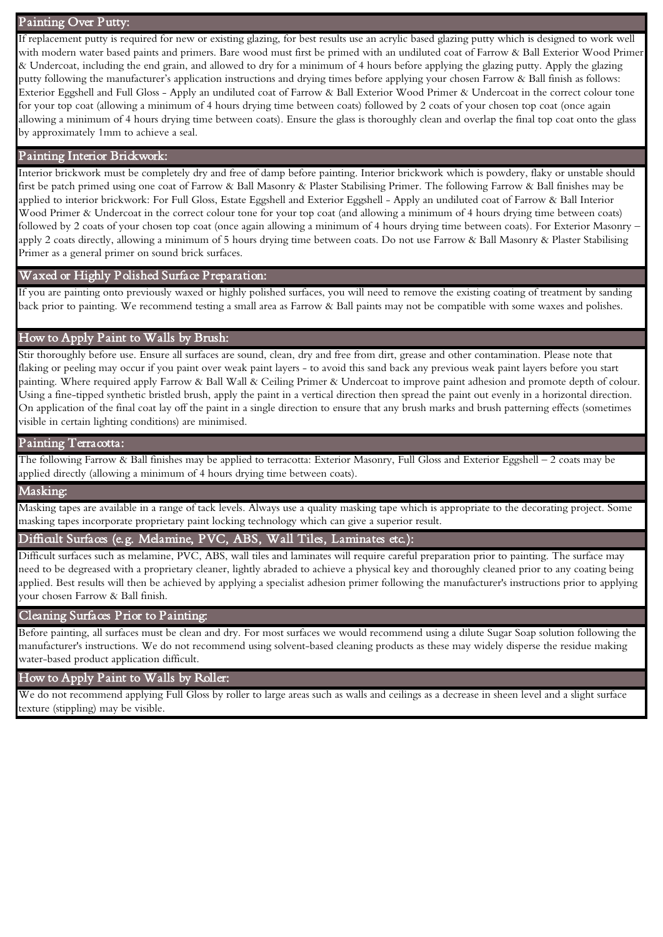#### Painting Over Putty:

If replacement putty is required for new or existing glazing, for best results use an acrylic based glazing putty which is designed to work well with modern water based paints and primers. Bare wood must first be primed with an undiluted coat of Farrow & Ball Exterior Wood Primer & Undercoat, including the end grain, and allowed to dry for a minimum of 4 hours before applying the glazing putty. Apply the glazing putty following the manufacturer's application instructions and drying times before applying your chosen Farrow & Ball finish as follows: Exterior Eggshell and Full Gloss - Apply an undiluted coat of Farrow & Ball Exterior Wood Primer & Undercoat in the correct colour tone for your top coat (allowing a minimum of 4 hours drying time between coats) followed by 2 coats of your chosen top coat (once again allowing a minimum of 4 hours drying time between coats). Ensure the glass is thoroughly clean and overlap the final top coat onto the glass by approximately 1mm to achieve a seal.

# Painting Interior Brickwork:

Interior brickwork must be completely dry and free of damp before painting. Interior brickwork which is powdery, flaky or unstable should first be patch primed using one coat of Farrow & Ball Masonry & Plaster Stabilising Primer. The following Farrow & Ball finishes may be applied to interior brickwork: For Full Gloss, Estate Eggshell and Exterior Eggshell - Apply an undiluted coat of Farrow & Ball Interior Wood Primer & Undercoat in the correct colour tone for your top coat (and allowing a minimum of 4 hours drying time between coats) followed by 2 coats of your chosen top coat (once again allowing a minimum of 4 hours drying time between coats). For Exterior Masonry – apply 2 coats directly, allowing a minimum of 5 hours drying time between coats. Do not use Farrow & Ball Masonry & Plaster Stabilising Primer as a general primer on sound brick surfaces.

#### Waxed or Highly Polished Surface Preparation:

If you are painting onto previously waxed or highly polished surfaces, you will need to remove the existing coating of treatment by sanding back prior to painting. We recommend testing a small area as Farrow & Ball paints may not be compatible with some waxes and polishes.

#### How to Apply Paint to Walls by Brush:

Stir thoroughly before use. Ensure all surfaces are sound, clean, dry and free from dirt, grease and other contamination. Please note that flaking or peeling may occur if you paint over weak paint layers - to avoid this sand back any previous weak paint layers before you start painting. Where required apply Farrow & Ball Wall & Ceiling Primer & Undercoat to improve paint adhesion and promote depth of colour. Using a fine-tipped synthetic bristled brush, apply the paint in a vertical direction then spread the paint out evenly in a horizontal direction. On application of the final coat lay off the paint in a single direction to ensure that any brush marks and brush patterning effects (sometimes visible in certain lighting conditions) are minimised.

#### Painting Terracotta:

The following Farrow & Ball finishes may be applied to terracotta: Exterior Masonry, Full Gloss and Exterior Eggshell – 2 coats may be applied directly (allowing a minimum of 4 hours drying time between coats).

#### Masking:

Masking tapes are available in a range of tack levels. Always use a quality masking tape which is appropriate to the decorating project. Some masking tapes incorporate proprietary paint locking technology which can give a superior result.

#### Difficult Surfaces (e.g. Melamine, PVC, ABS, Wall Tiles, Laminates etc.):

Difficult surfaces such as melamine, PVC, ABS, wall tiles and laminates will require careful preparation prior to painting. The surface may need to be degreased with a proprietary cleaner, lightly abraded to achieve a physical key and thoroughly cleaned prior to any coating being applied. Best results will then be achieved by applying a specialist adhesion primer following the manufacturer's instructions prior to applying your chosen Farrow & Ball finish.

#### Cleaning Surfaces Prior to Painting:

Before painting, all surfaces must be clean and dry. For most surfaces we would recommend using a dilute Sugar Soap solution following the manufacturer's instructions. We do not recommend using solvent-based cleaning products as these may widely disperse the residue making water-based product application difficult.

#### How to Apply Paint to Walls by Roller:

We do not recommend applying Full Gloss by roller to large areas such as walls and ceilings as a decrease in sheen level and a slight surface texture (stippling) may be visible.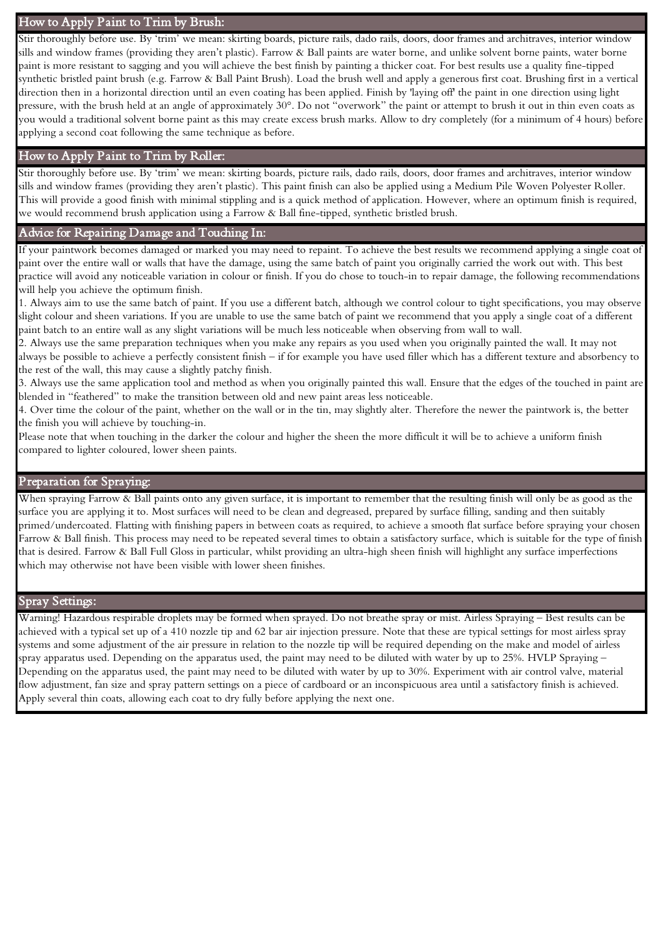# How to Apply Paint to Trim by Brush:

Stir thoroughly before use. By 'trim' we mean: skirting boards, picture rails, dado rails, doors, door frames and architraves, interior window sills and window frames (providing they aren't plastic). Farrow & Ball paints are water borne, and unlike solvent borne paints, water borne paint is more resistant to sagging and you will achieve the best finish by painting a thicker coat. For best results use a quality fine-tipped synthetic bristled paint brush (e.g. Farrow & Ball Paint Brush). Load the brush well and apply a generous first coat. Brushing first in a vertical direction then in a horizontal direction until an even coating has been applied. Finish by 'laying off' the paint in one direction using light pressure, with the brush held at an angle of approximately 30°. Do not "overwork" the paint or attempt to brush it out in thin even coats as you would a traditional solvent borne paint as this may create excess brush marks. Allow to dry completely (for a minimum of 4 hours) before applying a second coat following the same technique as before.

# How to Apply Paint to Trim by Roller:

Stir thoroughly before use. By 'trim' we mean: skirting boards, picture rails, dado rails, doors, door frames and architraves, interior window sills and window frames (providing they aren't plastic). This paint finish can also be applied using a Medium Pile Woven Polyester Roller. This will provide a good finish with minimal stippling and is a quick method of application. However, where an optimum finish is required, we would recommend brush application using a Farrow & Ball fine-tipped, synthetic bristled brush.

#### Advice for Repairing Damage and Touching In:

If your paintwork becomes damaged or marked you may need to repaint. To achieve the best results we recommend applying a single coat of paint over the entire wall or walls that have the damage, using the same batch of paint you originally carried the work out with. This best practice will avoid any noticeable variation in colour or finish. If you do chose to touch-in to repair damage, the following recommendations will help you achieve the optimum finish.

1. Always aim to use the same batch of paint. If you use a different batch, although we control colour to tight specifications, you may observe slight colour and sheen variations. If you are unable to use the same batch of paint we recommend that you apply a single coat of a different paint batch to an entire wall as any slight variations will be much less noticeable when observing from wall to wall.

2. Always use the same preparation techniques when you make any repairs as you used when you originally painted the wall. It may not always be possible to achieve a perfectly consistent finish – if for example you have used filler which has a different texture and absorbency to the rest of the wall, this may cause a slightly patchy finish.

3. Always use the same application tool and method as when you originally painted this wall. Ensure that the edges of the touched in paint are blended in "feathered" to make the transition between old and new paint areas less noticeable.

4. Over time the colour of the paint, whether on the wall or in the tin, may slightly alter. Therefore the newer the paintwork is, the better the finish you will achieve by touching-in.

Please note that when touching in the darker the colour and higher the sheen the more difficult it will be to achieve a uniform finish compared to lighter coloured, lower sheen paints.

# Preparation for Spraying:

When spraying Farrow & Ball paints onto any given surface, it is important to remember that the resulting finish will only be as good as the surface you are applying it to. Most surfaces will need to be clean and degreased, prepared by surface filling, sanding and then suitably primed/undercoated. Flatting with finishing papers in between coats as required, to achieve a smooth flat surface before spraying your chosen Farrow & Ball finish. This process may need to be repeated several times to obtain a satisfactory surface, which is suitable for the type of finish that is desired. Farrow & Ball Full Gloss in particular, whilst providing an ultra-high sheen finish will highlight any surface imperfections which may otherwise not have been visible with lower sheen finishes.

#### Spray Settings:

Warning! Hazardous respirable droplets may be formed when sprayed. Do not breathe spray or mist. Airless Spraying – Best results can be achieved with a typical set up of a 410 nozzle tip and 62 bar air injection pressure. Note that these are typical settings for most airless spray systems and some adjustment of the air pressure in relation to the nozzle tip will be required depending on the make and model of airless spray apparatus used. Depending on the apparatus used, the paint may need to be diluted with water by up to 25%. HVLP Spraying – Depending on the apparatus used, the paint may need to be diluted with water by up to 30%. Experiment with air control valve, material flow adjustment, fan size and spray pattern settings on a piece of cardboard or an inconspicuous area until a satisfactory finish is achieved. Apply several thin coats, allowing each coat to dry fully before applying the next one.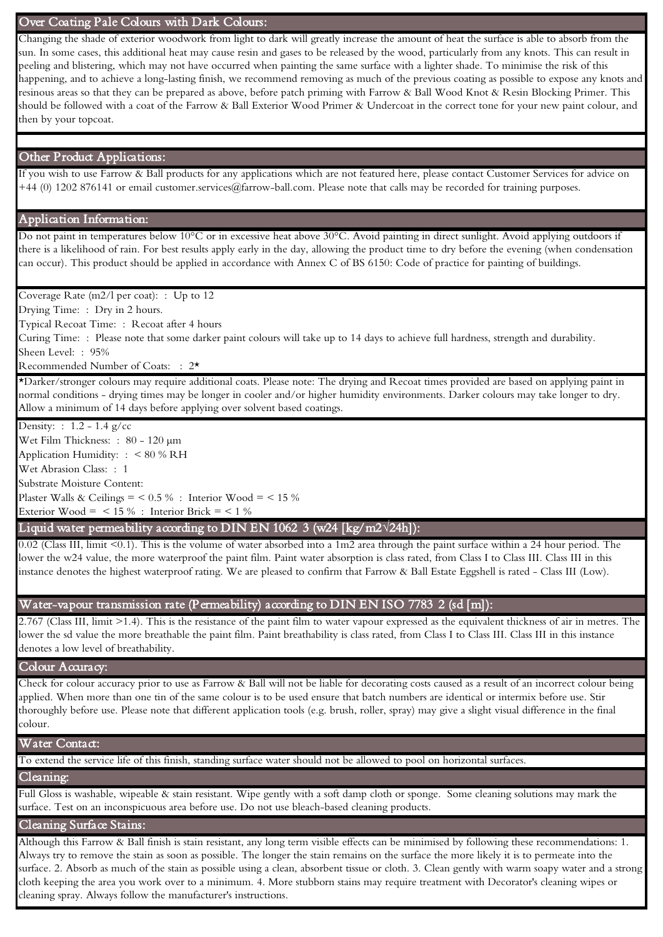#### Over Coating Pale Colours with Dark Colours:

Changing the shade of exterior woodwork from light to dark will greatly increase the amount of heat the surface is able to absorb from the sun. In some cases, this additional heat may cause resin and gases to be released by the wood, particularly from any knots. This can result in peeling and blistering, which may not have occurred when painting the same surface with a lighter shade. To minimise the risk of this happening, and to achieve a long-lasting finish, we recommend removing as much of the previous coating as possible to expose any knots and resinous areas so that they can be prepared as above, before patch priming with Farrow & Ball Wood Knot & Resin Blocking Primer. This should be followed with a coat of the Farrow & Ball Exterior Wood Primer & Undercoat in the correct tone for your new paint colour, and then by your topcoat.

#### Other Product Applications:

If you wish to use Farrow & Ball products for any applications which are not featured here, please contact Customer Services for advice on +44 (0) 1202 876141 or email customer.services@farrow-ball.com. Please note that calls may be recorded for training purposes.

#### Application Information:

Do not paint in temperatures below 10°C or in excessive heat above 30°C. Avoid painting in direct sunlight. Avoid applying outdoors if there is a likelihood of rain. For best results apply early in the day, allowing the product time to dry before the evening (when condensation can occur). This product should be applied in accordance with Annex C of BS 6150: Code of practice for painting of buildings.

Coverage Rate (m2/l per coat): : Up to 12

Drying Time: : Dry in 2 hours.

Typical Recoat Time: : Recoat after 4 hours

 Curing Time: : Please note that some darker paint colours will take up to 14 days to achieve full hardness, strength and durability. Sheen Level: : 95%

Recommended Number of Coats: : 2\*

\*Darker/stronger colours may require additional coats. Please note: The drying and Recoat times provided are based on applying paint in normal conditions - drying times may be longer in cooler and/or higher humidity environments. Darker colours may take longer to dry. Allow a minimum of 14 days before applying over solvent based coatings.

Density: : 1.2 - 1.4 g/cc

 Wet Film Thickness: : 80 - 120 µm Application Humidity: : < 80 % RH Wet Abrasion Class: : 1 Plaster Walls & Ceilings =  $< 0.5 %$  : Interior Wood =  $< 15 %$ Exterior Wood =  $\lt$  15 % : Interior Brick =  $\lt$  1 % Substrate Moisture Content:

- Liquid water permeability according to DIN EN 1062 3 (w24 [kg/m2**√**24h]):

0.02 (Class III, limit <0.1). This is the volume of water absorbed into a 1m2 area through the paint surface within a 24 hour period. The lower the w24 value, the more waterproof the paint film. Paint water absorption is class rated, from Class I to Class III. Class III in this instance denotes the highest waterproof rating. We are pleased to confirm that Farrow & Ball Estate Eggshell is rated - Class III (Low).

#### Water-vapour transmission rate (Permeability) according to DIN EN ISO 7783 2 (sd [m]):

2.767 (Class III, limit >1.4). This is the resistance of the paint film to water vapour expressed as the equivalent thickness of air in metres. The lower the sd value the more breathable the paint film. Paint breathability is class rated, from Class I to Class III. Class III in this instance denotes a low level of breathability.

#### Colour Accuracy:

Check for colour accuracy prior to use as Farrow & Ball will not be liable for decorating costs caused as a result of an incorrect colour being applied. When more than one tin of the same colour is to be used ensure that batch numbers are identical or intermix before use. Stir thoroughly before use. Please note that different application tools (e.g. brush, roller, spray) may give a slight visual difference in the final colour.

#### Water Contact:

To extend the service life of this finish, standing surface water should not be allowed to pool on horizontal surfaces.

#### Cleaning:

 Full Gloss is washable, wipeable & stain resistant. Wipe gently with a soft damp cloth or sponge. Some cleaning solutions may mark the surface. Test on an inconspicuous area before use. Do not use bleach-based cleaning products.

#### Cleaning Surface Stains:

Although this Farrow & Ball finish is stain resistant, any long term visible effects can be minimised by following these recommendations: 1. Always try to remove the stain as soon as possible. The longer the stain remains on the surface the more likely it is to permeate into the surface. 2. Absorb as much of the stain as possible using a clean, absorbent tissue or cloth. 3. Clean gently with warm soapy water and a strong cloth keeping the area you work over to a minimum. 4. More stubborn stains may require treatment with Decorator's cleaning wipes or cleaning spray. Always follow the manufacturer's instructions.